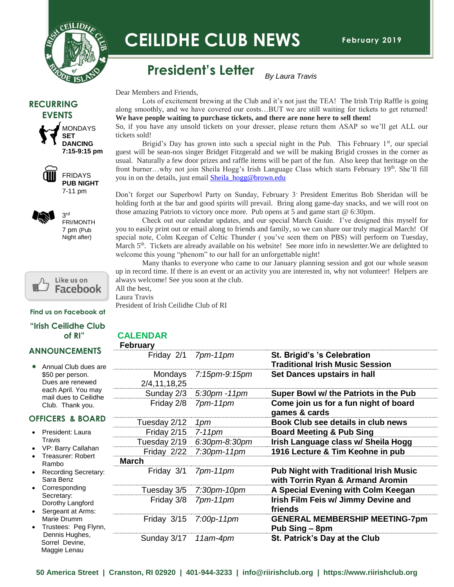

# **CEILIDHE CLUB NEWS**

# **President's Letter**

Dear Members and Friends,

Lots of excitement brewing at the Club and it's not just the TEA! The Irish Trip Raffle is going along smoothly, and we have covered our costs…BUT we are still waiting for tickets to get returned! **We have people waiting to purchase tickets, and there are none here to sell them!** 

*By Laura Travis*

So, if you have any unsold tickets on your dresser, please return them ASAP so we'll get ALL our tickets sold!

Brigid's Day has grown into such a special night in the Pub. This February  $1<sup>st</sup>$ , our special guest will be sean-nos singer Bridget Fitzgerald and we will be making Brigid crosses in the corner as usual. Naturally a few door prizes and raffle items will be part of the fun. Also keep that heritage on the front burner...why not join Sheila Hogg's Irish Language Class which starts February 19th. She'll fill you in on the details, just emai[l Sheila\\_hogg@brown.edu](mailto:Sheila_hogg@brown.edu)

Don't forget our Superbowl Party on Sunday, February 3- President Emeritus Bob Sheridan will be holding forth at the bar and good spirits will prevail. Bring along game-day snacks, and we will root on those amazing Patriots to victory once more. Pub opens at 5 and game start @ 6:30pm.

 special note, Colm Keegan of Celtic Thunder ( you've seen them on PBS) will perform on Tuesday, which S. There is are already available on his website. See more line in hew welcome this young "phenom" to our hall for an unforgettable night! Check out our calendar updates, and our special March Guide. I've designed this myself for you to easily print out or email along to friends and family, so we can share our truly magical March! Of March 5<sup>th</sup>. Tickets are already available on his website! See more info in newsletter. We are delighted to

Many thanks to everyone who came to our January planning session and got our whole season up in record time. If there is an event or an activity you are interested in, why not volunteer! Helpers are always welcome! See you soon at the club.

All the best, Laura Travis President of Irish Ceilidhe Club of RI

#### **Find us on Facebook at**

Like us on Facebook

#### **"Irish Ceilidhe Club of RI"**

#### **ANNOUNCEMENTS**

• Annual Club dues are \$50 per person. Dues are renewed each April. You may mail dues to Ceilidhe Club. Thank you.

#### **OFFICERS & BOARD**

- President: Laura **Travis**
- VP: Barry Callahan
- Treasurer: Robert Rambo
- Recording Secretary: Sara Benz
- **Corresponding** Secretary: Dorothy Langford
- Sergeant at Arms: Marie Drumm
- Trustees: Peg Flynn, Dennis Hughes, Sorrel Devine, Maggie Lenau

### **CALENDAR**

| <b>February</b>         |                    |                                                                                   |
|-------------------------|--------------------|-----------------------------------------------------------------------------------|
| Friday 2/1              | $7pm-11$ $pm$      | St. Brigid's 's Celebration<br><b>Traditional Irish Music Session</b>             |
| Mondays<br>2/4,11,18,25 | 7:15pm-9:15pm      | Set Dances upstairs in hall                                                       |
| Sunday 2/3              | $5:30$ pm $-11$ pm | Super Bowl w/ the Patriots in the Pub                                             |
| Friday 2/8              | $7pm-11$ $pm$      | Come join us for a fun night of board<br>games & cards                            |
| Tuesday 2/12            | 1pm                | Book Club see details in club news                                                |
| Friday 2/15             | $7-11$ pm          | <b>Board Meeting &amp; Pub Sing</b>                                               |
| Tuesday 2/19            | 6:30pm-8:30pm      | Irish Language class w/ Sheila Hogg                                               |
| Friday 2/22             | $7:30$ pm-11pm     | 1916 Lecture & Tim Keohne in pub                                                  |
| <b>March</b>            |                    |                                                                                   |
| Friday 3/1              | $7pm-11$ $pm$      | <b>Pub Night with Traditional Irish Music</b><br>with Torrin Ryan & Armand Aromin |
| Tuesday 3/5             | $7:30$ pm-10pm     | A Special Evening with Colm Keegan                                                |
| Friday 3/8              | $7pm-11$ $pm$      | Irish Film Feis w/ Jimmy Devine and<br>friends                                    |
| Friday 3/15             | $7:00p-11pm$       | <b>GENERAL MEMBERSHIP MEETING-7pm</b><br>Pub Sing – 8pm                           |
| Sunday 3/17             | $11am-4pm$         | St. Patrick's Day at the Club                                                     |

**50 America Street | Cranston, RI 02920 | 401-944-3233 | info@riirishclub.org | https://www.riirishclub.org**





FRIDAYS **PUB NIGHT** 7-11 pm



3 rd FRI/MONTH 7 pm (Pub Night after)